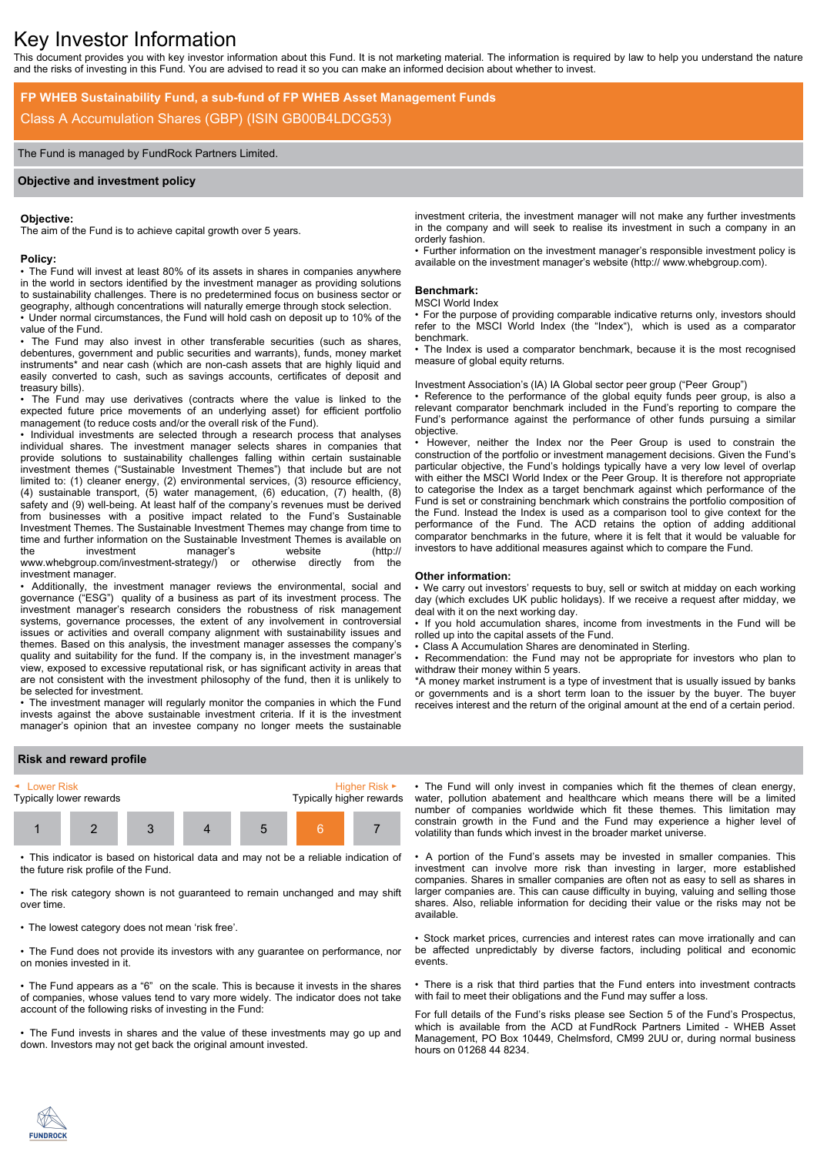# Key Investor Information

This document provides you with key investor information about this Fund. It is not marketing material. The information is required by law to help you understand the nature and the risks of investing in this Fund. You are advised to read it so you can make an informed decision about whether to invest.

# **FP WHEB Sustainability Fund, a sub-fund of FP WHEB Asset Management Funds** Class A Accumulation Shares (GBP) (ISIN GB00B4LDCG53)

# The Fund is managed by FundRock Partners Limited.

#### **Objective and investment policy**

#### **Objective:**

The aim of the Fund is to achieve capital growth over 5 years.

#### **Policy:**

• The Fund will invest at least 80% of its assets in shares in companies anywhere in the world in sectors identified by the investment manager as providing solutions to sustainability challenges. There is no predetermined focus on business sector or geography, although concentrations will naturally emerge through stock selection.

• Under normal circumstances, the Fund will hold cash on deposit up to 10% of the value of the Fund.

The Fund may also invest in other transferable securities (such as shares, debentures, government and public securities and warrants), funds, money market instruments\* and near cash (which are non-cash assets that are highly liquid and easily converted to cash, such as savings accounts, certificates of deposit and treasury bills).

• The Fund may use derivatives (contracts where the value is linked to the expected future price movements of an underlying asset) for efficient portfolio management (to reduce costs and/or the overall risk of the Fund).

• Individual investments are selected through a research process that analyses individual shares. The investment manager selects shares in companies that provide solutions to sustainability challenges falling within certain sustainable investment themes ("Sustainable Investment Themes") that include but are not limited to: (1) cleaner energy, (2) environmental services, (3) resource efficiency, (4) sustainable transport, (5) water management, (6) education, (7) health, (8) safety and (9) well-being. At least half of the company's revenues must be derived from businesses with a positive impact related to the Fund's Sustainable Investment Themes. The Sustainable Investment Themes may change from time to time and further information on the Sustainable Investment Themes is available on the investment manager's website (http:// www.whebgroup.com/investment-strategy/) or otherwise directly from the investment manager.

• Additionally, the investment manager reviews the environmental, social and governance ("ESG") quality of a business as part of its investment process. The investment manager's research considers the robustness of risk management systems, governance processes, the extent of any involvement in controversial issues or activities and overall company alignment with sustainability issues and themes. Based on this analysis, the investment manager assesses the company's quality and suitability for the fund. If the company is, in the investment manager's view, exposed to excessive reputational risk, or has significant activity in areas that are not consistent with the investment philosophy of the fund, then it is unlikely to be selected for investment.

• The investment manager will regularly monitor the companies in which the Fund invests against the above sustainable investment criteria. If it is the investment manager's opinion that an investee company no longer meets the sustainable

investment criteria, the investment manager will not make any further investments in the company and will seek to realise its investment in such a company in an orderly fashion.

• Further information on the investment manager's responsible investment policy is available on the investment manager's website (http:// www.whebgroup.com).

#### **Benchmark:**

#### MSCI World Index

• For the purpose of providing comparable indicative returns only, investors should refer to the MSCI World Index (the "Index"), which is used as a comparator benchmark.

• The Index is used a comparator benchmark, because it is the most recognised measure of global equity returns.

Investment Association's (IA) IA Global sector peer group ("Peer Group")

• Reference to the performance of the global equity funds peer group, is also a relevant comparator benchmark included in the Fund's reporting to compare the Fund's performance against the performance of other funds pursuing a similar objective.

• However, neither the Index nor the Peer Group is used to constrain the construction of the portfolio or investment management decisions. Given the Fund's particular objective, the Fund's holdings typically have a very low level of overlap with either the MSCI World Index or the Peer Group. It is therefore not appropriate to categorise the Index as a target benchmark against which performance of the Fund is set or constraining benchmark which constrains the portfolio composition of the Fund. Instead the Index is used as a comparison tool to give context for the performance of the Fund. The ACD retains the option of adding additional comparator benchmarks in the future, where it is felt that it would be valuable for investors to have additional measures against which to compare the Fund.

#### **Other information:**

• We carry out investors' requests to buy, sell or switch at midday on each working day (which excludes UK public holidays). If we receive a request after midday, we deal with it on the next working day.

• If you hold accumulation shares, income from investments in the Fund will be rolled up into the capital assets of the Fund.

• Class A Accumulation Shares are denominated in Sterling.

• Recommendation: the Fund may not be appropriate for investors who plan to withdraw their money within 5 years.

\*A money market instrument is a type of investment that is usually issued by banks or governments and is a short term loan to the issuer by the buyer. The buyer receives interest and the return of the original amount at the end of a certain period.

# **Risk and reward profile**



• This indicator is based on historical data and may not be a reliable indication of the future risk profile of the Fund.

• The risk category shown is not guaranteed to remain unchanged and may shift over time.

• The lowest category does not mean 'risk free'.

• The Fund does not provide its investors with any guarantee on performance, nor on monies invested in it.

• The Fund appears as a "6" on the scale. This is because it invests in the shares of companies, whose values tend to vary more widely. The indicator does not take account of the following risks of investing in the Fund:

• The Fund invests in shares and the value of these investments may go up and down. Investors may not get back the original amount invested.

• The Fund will only invest in companies which fit the themes of clean energy, water, pollution abatement and healthcare which means there will be a limited number of companies worldwide which fit these themes. This limitation may constrain growth in the Fund and the Fund may experience a higher level of volatility than funds which invest in the broader market universe.

• A portion of the Fund's assets may be invested in smaller companies. This investment can involve more risk than investing in larger, more established companies. Shares in smaller companies are often not as easy to sell as shares in larger companies are. This can cause difficulty in buying, valuing and selling those shares. Also, reliable information for deciding their value or the risks may not be available.

• Stock market prices, currencies and interest rates can move irrationally and can be affected unpredictably by diverse factors, including political and economic events.

• There is a risk that third parties that the Fund enters into investment contracts with fail to meet their obligations and the Fund may suffer a loss.

For full details of the Fund's risks please see Section 5 of the Fund's Prospectus, which is available from the ACD at FundRock Partners Limited - WHEB Asset Management, PO Box 10449, Chelmsford, CM99 2UU or, during normal business hours on 01268 44 8234.